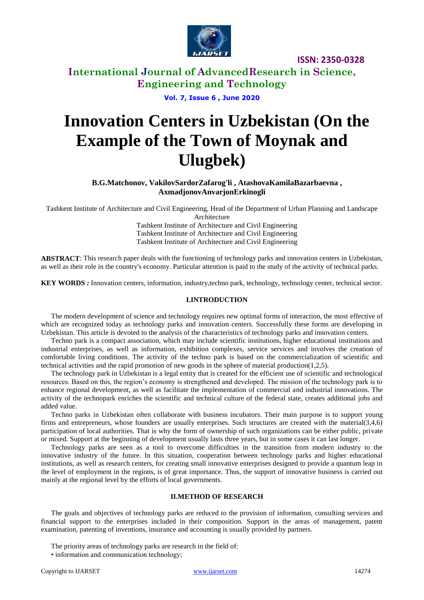

**ISSN: 2350-0328**

# **International Journal of AdvancedResearch in Science, Engineering and Technology**

**Vol. 7, Issue 6 , June 2020**

# **Innovation Centers in Uzbekistan (On the Example of the Town of Moynak and Ulugbek)**

**B.G.Matchonov, VakilovSardorZafarog'li , AtashovaKamilaBazarbaevna , AxmadjonovAnvarjonErkinogli**

Tashkent Institute of Architecture and Civil Engineering, Head of the Department of Urban Planning and Landscape

Architecture

Tashkent Institute of Architecture and Civil Engineering Tashkent Institute of Architecture and Civil Engineering Tashkent Institute of Architecture and Civil Engineering

**ABSTRACT**: This research paper deals with the functioning of technology parks and innovation centers in Uzbekistan, as well as their role in the country's economy. Particular attention is paid to the study of the activity of technical parks.

**KEY WORDS** *:* Innovation centers, information, industry,techno park, technology, technology center, technical sector.

#### **I.INTRODUCTION**

The modern development of science and technology requires new optimal forms of interaction, the most effective of which are recognized today as technology parks and innovation centers. Successfully these forms are developing in Uzbekistan. This article is devoted to the analysis of the characteristics of technology parks and innovation centers.

Techno park is a compact association, which may include scientific institutions, higher educational institutions and industrial enterprises, as well as information, exhibition complexes, service services and involves the creation of comfortable living conditions. The activity of the techno park is based on the commercialization of scientific and technical activities and the rapid promotion of new goods in the sphere of material production( $1,2,5$ ).

The technology park in Uzbekistan is a legal entity that is created for the efficient use of scientific and technological resources. Based on this, the region's economy is strengthened and developed. The mission of the technology park is to enhance regional development, as well as facilitate the implementation of commercial and industrial innovations. The activity of the technopark enriches the scientific and technical culture of the federal state, creates additional jobs and added value.

Techno parks in Uzbekistan often collaborate with business incubators. Their main purpose is to support young firms and entrepreneurs, whose founders are usually enterprises. Such structures are created with the material(3,4,6) participation of local authorities. That is why the form of ownership of such organizations can be either public, private or mixed. Support at the beginning of development usually lasts three years, but in some cases it can last longer.

Technology parks are seen as a tool to overcome difficulties in the transition from modern industry to the innovative industry of the future. In this situation, cooperation between technology parks and higher educational institutions, as well as research centers, for creating small innovative enterprises designed to provide a quantum leap in the level of employment in the regions, is of great importance. Thus, the support of innovative business is carried out mainly at the regional level by the efforts of local governments.

### **II.METHOD OF RESEARCH**

The goals and objectives of technology parks are reduced to the provision of information, consulting services and financial support to the enterprises included in their composition. Support in the areas of management, patent examination, patenting of inventions, insurance and accounting is usually provided by partners.

- The priority areas of technology parks are research in the field of:
- information and communication technology;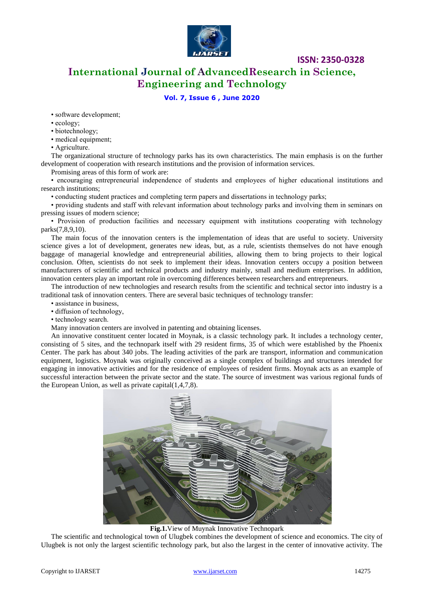

**ISSN: 2350-0328**

**International Journal of AdvancedResearch in Science, Engineering and Technology**

## **Vol. 7, Issue 6 , June 2020**

• software development;

- ecology;
- biotechnology;

• medical equipment;

• Agriculture.

The organizational structure of technology parks has its own characteristics. The main emphasis is on the further development of cooperation with research institutions and the provision of information services.

Promising areas of this form of work are:

• encouraging entrepreneurial independence of students and employees of higher educational institutions and research institutions;

• conducting student practices and completing term papers and dissertations in technology parks;

• providing students and staff with relevant information about technology parks and involving them in seminars on pressing issues of modern science;

• Provision of production facilities and necessary equipment with institutions cooperating with technology parks(7,8,9,10).

The main focus of the innovation centers is the implementation of ideas that are useful to society. University science gives a lot of development, generates new ideas, but, as a rule, scientists themselves do not have enough baggage of managerial knowledge and entrepreneurial abilities, allowing them to bring projects to their logical conclusion. Often, scientists do not seek to implement their ideas. Innovation centers occupy a position between manufacturers of scientific and technical products and industry mainly, small and medium enterprises. In addition, innovation centers play an important role in overcoming differences between researchers and entrepreneurs.

The introduction of new technologies and research results from the scientific and technical sector into industry is a traditional task of innovation centers. There are several basic techniques of technology transfer:

• assistance in business,

• diffusion of technology,

• technology search.

Many innovation centers are involved in patenting and obtaining licenses.

An innovative constituent center located in Moynak, is a classic technology park. It includes a technology center, consisting of 5 sites, and the technopark itself with 29 resident firms, 35 of which were established by the Phoenix Center. The park has about 340 jobs. The leading activities of the park are transport, information and communication equipment, logistics. Moynak was originally conceived as a single complex of buildings and structures intended for engaging in innovative activities and for the residence of employees of resident firms. Moynak acts as an example of successful interaction between the private sector and the state. The source of investment was various regional funds of the European Union, as well as private capital $(1,4,7,8)$ .



**Fig.1.**View of Muynak Innovative Technopark

The scientific and technological town of Ulugbek combines the development of science and economics. The city of Ulugbek is not only the largest scientific technology park, but also the largest in the center of innovative activity. The